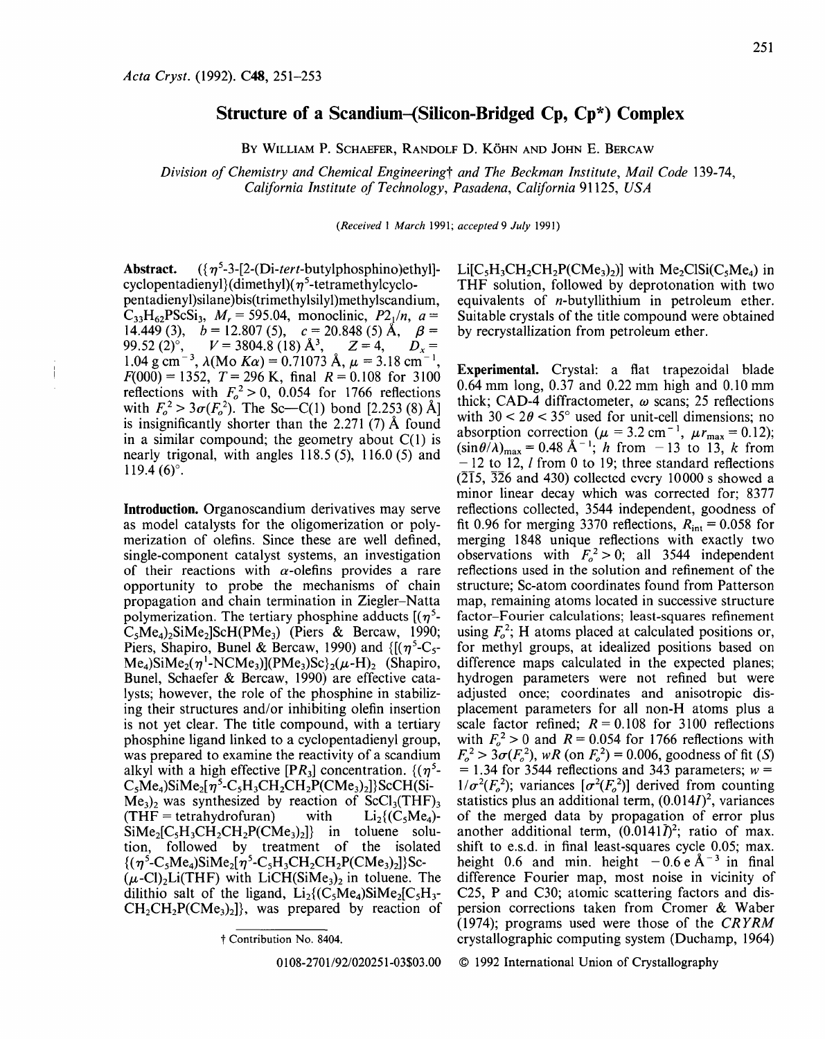## **Structure of a Scandium-{Silicon-Bridged Cp, Cp\*) Complex**

BY WILLIAM P. SCHAEFER, RANDOLF D. KÖHN AND JOHN E. BERCAW

*Division of Chemistry and Chemical Engineeringt and The Beckman Institute, Mail Code* 139-74, *California Institute of Technology, Pasadena, California* 91125, *USA* 

*(Received* I *March* 1991; *accepted9 July* 1991)

Abstract.  $({\eta^5}$ -3-[2-(Di-tert-butylphosphino)ethyl]cyclopentadienyl ${dimethyl}(\eta^5$ -tetramethylcyclopentadienyl)silane )bis(trimethylsilyl)methylscandium,  $C_{33}H_{62}PSCSi_3$ ,  $M_r = 595.04$ , monoclinic,  $P2_1/n$ ,  $a =$ 14.449 (3),  $b = 12.807$  (5),  $c = 20.848$  (5) Å,  $\beta =$ 99.52 (2)<sup>o</sup>,  $V = 3804.8$  (18)  $\mathring{A}^3$ ,  $Z = 4$ ,  $D_x =$ 1.04 g cm<sup>-3</sup>,  $\lambda$ (Mo Ka) = 0.71073 Å,  $\mu$  = 3.18 cm<sup>-1</sup>,  $F(000) = 1352$ ,  $T = 296$  K, final  $R = 0.108$  for 3100 reflections with  $F_0^2 > 0$ , 0.054 for 1766 reflections with  $F_o^2 > 3\sigma(F_o^2)$ . The Sc—C(1) bond [2.253 (8) Å] is insignificantly shorter than the 2.271 (7) A found in a similar compound; the geometry about  $C(1)$  is nearly trigonal, with angles 118.5 (5), 116.0 (5) and  $119.4(6)^\circ$ .

Introduction. Organoscandium derivatives may serve as model catalysts for the oligomerization or polymerization of olefins. Since these are well defined, single-component catalyst systems, an investigation of their reactions with  $\alpha$ -olefins provides a rare opportunity to probe the mechanisms of chain propagation and chain termination in Ziegler-Natta polymerization. The tertiary phosphine adducts  $[(\eta^5 C_5Me_4$ )<sub>2</sub>SiMe<sub>2</sub>]ScH(PMe<sub>3</sub>) (Piers & Bercaw, 1990; Piers, Shapiro, Bunel & Bercaw, 1990) and  $\{(\eta^5)C_5\}$  $Me<sub>4</sub>$ )SiMe<sub>2</sub>( $\eta$ <sup>1</sup>-NCMe<sub>3</sub>)](PMe<sub>3</sub>)Sc}<sub>2</sub>( $\mu$ -H)<sub>2</sub> (Shapiro, Bunel, Schaefer & Bercaw, 1990) are effective catalysts; however, the role of the phosphine in stabilizing their structures and/or inhibiting olefin insertion is not yet clear. The title compound, with a tertiary phosphine ligand linked to a cyclopentadienyl group, was prepared to examine the reactivity of a scandium alkyl with a high effective  $[PR_3]$  concentration.  $\{(\eta^5 - \eta^4)\}$  $C_5Me_4$ )SiMe<sub>2</sub>[ $\eta^5$ -C<sub>5</sub>H<sub>3</sub>CH<sub>2</sub>CH<sub>2</sub>P(CMe<sub>3</sub>)<sub>2</sub>]}ScCH(Si- $Me<sub>3</sub>$ )<sub>2</sub> was synthesized by reaction of ScCl<sub>3</sub>(THF)<sub>3</sub><br>(THF = tetrahydrofuran) with Li<sub>2</sub>{(C<sub>s</sub>Me<sub>a</sub>)- $(THF = tetrahydrofuran)$  $\text{SiMe}_2[\text{C}_5\text{H}_3\text{CH}_2\text{CH}_2\text{P}(\text{CMe}_3)_2]$  in toluene solution, followed by treatment of the isolated  ${(\eta^5 - C_5Me_4)SiMe_2[\eta^5 - C_5H_3CH_2CH_2P(CMe_3)_2]}$ Sc- $(\mu$ -Cl)<sub>2</sub>Li(THF) with LiCH(SiMe<sub>3</sub>)<sub>2</sub> in toluene. The dilithio salt of the ligand,  $Li_2$ {(C<sub>5</sub>Me<sub>4</sub>)SiMe<sub>2</sub>[C<sub>5</sub>H<sub>3</sub>- $CH<sub>2</sub>CH<sub>2</sub>P(CMe<sub>3</sub>)<sub>2</sub>$ }, was prepared by reaction of  $Li[C<sub>5</sub>H<sub>3</sub>CH<sub>2</sub>CH<sub>2</sub>P(CMe<sub>3</sub>)<sub>2</sub>]$  with Me<sub>2</sub>ClSi(C<sub>5</sub>Me<sub>4</sub>) in THF solution, followed by deprotonation with two equivalents of n-butyllithium in petroleum ether. Suitable crystals of the title compound were obtained by recrystallization from petroleum ether.

Experimental. Crystal: a flat trapezoidal blade 0.64 mm long, 0.37 and 0.22 mm high and 0.10 mm thick: CAD-4 diffractometer,  $\omega$  scans; 25 reflections with  $30 < 2\theta < 35^{\circ}$  used for unit-cell dimensions; no absorption correction ( $\mu = 3.2$  cm<sup>-1</sup>,  $\mu r_{\text{max}} = 0.12$ );  $(\sin \theta/\lambda)_{\text{max}} = 0.48 \text{ Å}^{-1}$ ; *h* from -13 to 13, *k* from  $-12$  to 12, *l* from 0 to 19; three standard reflections  $(2\overline{1}5, \overline{3}26$  and 430) collected every 10000 s showed a minor linear decay which was corrected for; 8377 reflections collected, 3544 independent, goodness of fit 0.96 for merging 3370 reflections,  $R_{\text{int}} = 0.058$  for merging 1848 unique reflections with exactly two observations with  $F_o^2 > 0$ ; all 3544 independent reflections used in the solution and refinement of the structure; Sc-atom coordinates found from Patterson map, remaining atoms located in successive structure factor-Fourier calculations; least-squares refinement using  $F_o^2$ ; H atoms placed at calculated positions or, for methyl groups, at idealized positions based on difference maps calculated in the expected planes; hydrogen parameters were not refined but were adjusted once; coordinates and anisotropic displacement parameters for all non-H atoms plus a scale factor refined;  $R = 0.108$  for 3100 reflections with  $F_0^2 > 0$  and  $R = 0.054$  for 1766 reflections with  $F_o^2 > 3\sigma (F_o^2)$ , *wR* (on  $F_o^2$ ) = 0.006, goodness of fit (S)  $= 1.34$  for 3544 reflections and 343 parameters;  $w =$  $1/\sigma^2(F_o^2)$ ; variances  $[\sigma^2(F_o^2)]$  derived from counting statistics plus an additional term,  $(0.014I)^2$ , variances of the merged data by propagation of error plus another additional term,  $(0.0141\bar{I})^2$ ; ratio of max. shift to e.s.d. in final least-squares cycle 0.05; max. height 0.6 and min. height  $-0.6 e \text{ Å}^{-3}$  in final difference Fourier map, most noise in vicinity of C25, P and C30; atomic scattering factors and dispersion corrections taken from Cromer & Waber (1974); programs used were those of the *CRYRM*  crystallographic computing system (Duchamp, 1964)

© 1992 International Union of Crystallography

t Contribution No. 8404.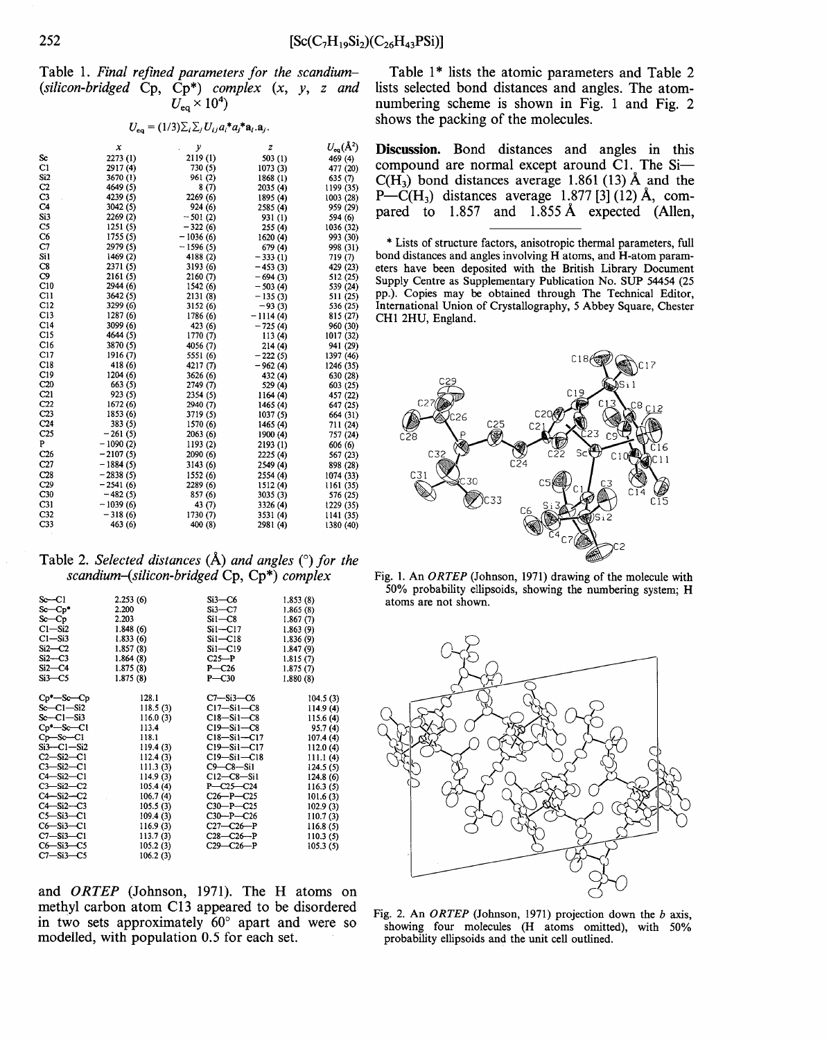Table 1. *Final refined parameters for the scandium-* ( *silicon-bridged* Cp, Cp\*) *complex* (x, *y, z and*   $U_{\rm eq}^-\times 10^4)$ 

## $U_{eq} = (1/3)\sum_i \sum_j U_{ij} a_i^* a_j^* a_i^* a_j^*.$

|                 | x          | у          | z          | $U_{eq}(\AA^2)$ |
|-----------------|------------|------------|------------|-----------------|
| Sc              | 2273 (1)   | 2119(1)    | 503(1)     | 469 (4)         |
| C1              | 2917(4)    | 730 (5)    | 1073(3)    | 477 (20)        |
| Si2             | 3670 (1)   | 961 (2)    | 1868 (1)   | 635 (7)         |
| C2              | 4649 (5)   | 8 (7)      | 2035(4)    | 1199 (35)       |
| C3              | 4239 (5)   | 2269 (6)   | 1895 (4)   | 1003 (28)       |
| C4              | 3042 (5)   | 924 (6)    | 2585 (4)   | 959 (29)        |
| Si3             | 2269 (2)   | $-501(2)$  | 931 (1)    | 594 (6)         |
| C5              | 1251(5)    | $-322(6)$  | 255(4)     | 1036 (32)       |
| C6              | 1755(5)    | $-1036(6)$ | 1620(4)    | 993 (30)        |
| C7              | 2979 (5)   | $-1596(5)$ | 679 (4)    | 998 (31)        |
| Sil             | 1469 (2)   | 4188 (2)   | $-333(1)$  | 719 (7)         |
| C8              | 2371 (5)   | 3193 (6)   | $-453(3)$  | 429 (23)        |
| C9              | 2161 (5)   | 2160 (7)   | $-694(3)$  | 512 (25)        |
| C10             | 2944 (6)   | 1542 (6)   | $-503(4)$  | 539 (24)        |
| CH              | 3642 (5)   | 2131 (8)   | $-135(3)$  | 511 (25)        |
| C12             | 3299 (6)   | 3152(6)    | $-93(3)$   | 536 (25)        |
| C13             | 1287 (6)   | 1786 (6)   | $-1114(4)$ | 815 (27)        |
| C14             | 3099 (6)   | 423 (6)    | $-725(4)$  | 960 (30)        |
| C15             | 4644 (5)   | 1770(7)    | 113(4)     | 1017 (32)       |
| C16             | 3870 (5)   | 4056 (7)   | 214(4)     | 941 (29)        |
| C17             | 1916 (7)   | 5551 (6)   | $-222(5)$  | 1397 (46)       |
| C18             | 418 (6)    | 4217 (7)   | $-962(4)$  | 1246 (35)       |
| C19             | 1204(6)    | 3626 (6)   | 432 (4)    | 630 (28)        |
| C20             | 663 (5)    | 2749 (7)   | 529 (4)    | 603 (25)        |
| C <sub>21</sub> | 923(5)     | 2354 (5)   | 1164(4)    | 457 (22)        |
| C22             | 1672 (6)   | 2940 (7)   | 1465 (4)   | 647 (25)        |
| C23             | 1853 (6)   | 3719 (5)   | 1037(5)    | 664 (31)        |
| C <sub>24</sub> | 383 (5)    | 1570 (6)   | 1465 (4)   | 711 (24)        |
| C <sub>25</sub> | $-261(5)$  | 2063(6)    | 1900 (4)   | 757 (24)        |
| P               | $-1090(2)$ | 1193(2)    | 2193(1)    | 606 (6)         |
| C <sub>26</sub> | $-2107(5)$ | 2090 (6)   | 2225 (4)   | 567 (23)        |
| C27             | $-1884(5)$ | 3143(6)    | 2549 (4)   | 898 (28)        |
| C28             | $-2838(5)$ | 1552 (6)   | 2554 (4)   | 1074 (33)       |
| C <sub>29</sub> | $-2541(6)$ | 2289 (6)   | 1512(4)    | 1161 (35)       |
| C30             | $-482(5)$  | 857 (6)    | 3035(3)    | 576 (25)        |
| C31             | $-1039(6)$ | 43 (7)     | 3326 (4)   | 1229 (35)       |
| C32             | $-318(6)$  | 1730 (7)   | 3531 (4)   | 1141 (35)       |
| C <sub>33</sub> | 463 (6)    | 400 (8)    | 2981 (4)   | 1380 (40)       |
|                 |            |            |            |                 |

Table 1<sup>\*</sup> lists the atomic parameters and Table 2 lists selected bond distances and angles. The atomnumbering scheme is shown in Fig. 1 and Fig. 2 shows the packing of the molecules.

**Discussion.** Bond distances and angles in this compound are normal except around C1. The Si- $C(H_3)$  bond distances average 1.861 (13) Å and the  $P-C(H_3)$  distances average 1.877 [3] (12) Å, compared to 1.857 and 1.855 A expected (Allen,

\* Lists of structure factors, anisotropic thermal parameters, full bond distances and angles involving H atoms, and H-atom parameters have been deposited with the British Library Document Supply Centre as Supplementary Publication No. SUP 54454 (25 pp.). Copies may be obtained through The Technical Editor, International Union of Crystallography, 5 Abbey Square, Chester CHI 2HU, England.



Table 2. *Selected distances* (A) *and angles* ( 0 ) *for the scandium-(silicon-bridged* Cp, Cp\*) *complex* 

| $S_{C}$ -Cl                                                                                                                                                                                                                                                                                       | 2.253(6)                                                                                                                                                                                        | $Si3-C6$                                                                                                                                                                                                                                                                       | 1.853(8)                                                                                                                                                                                    |
|---------------------------------------------------------------------------------------------------------------------------------------------------------------------------------------------------------------------------------------------------------------------------------------------------|-------------------------------------------------------------------------------------------------------------------------------------------------------------------------------------------------|--------------------------------------------------------------------------------------------------------------------------------------------------------------------------------------------------------------------------------------------------------------------------------|---------------------------------------------------------------------------------------------------------------------------------------------------------------------------------------------|
| $Sc$ - $Cp*$                                                                                                                                                                                                                                                                                      | 2.200                                                                                                                                                                                           | $Si3-C7$                                                                                                                                                                                                                                                                       | 1.865(8)                                                                                                                                                                                    |
| $S_{C}$ -Cp                                                                                                                                                                                                                                                                                       | 2.203                                                                                                                                                                                           | $Si1-C8$                                                                                                                                                                                                                                                                       | 1.867(7)                                                                                                                                                                                    |
| $C1-Si2$                                                                                                                                                                                                                                                                                          | 1.848(6)                                                                                                                                                                                        | $Si1 - Cl7$                                                                                                                                                                                                                                                                    | 1.863(9)                                                                                                                                                                                    |
| $C1 - Si3$                                                                                                                                                                                                                                                                                        | 1.833(6)                                                                                                                                                                                        | $Si1-C18$                                                                                                                                                                                                                                                                      | 1.836(9)                                                                                                                                                                                    |
| $Si2-C2$                                                                                                                                                                                                                                                                                          | 1.857(8)                                                                                                                                                                                        | $Si1 - C19$                                                                                                                                                                                                                                                                    | 1.847(9)                                                                                                                                                                                    |
| $Si2-C3$                                                                                                                                                                                                                                                                                          | 1.864(8)                                                                                                                                                                                        | $C25-P$                                                                                                                                                                                                                                                                        | 1.815(7)                                                                                                                                                                                    |
| $Si2-C4$                                                                                                                                                                                                                                                                                          | 1.875(8)                                                                                                                                                                                        | $P - C26$                                                                                                                                                                                                                                                                      | 1.875(7)                                                                                                                                                                                    |
| $Si3-C5$                                                                                                                                                                                                                                                                                          | 1.875(8)                                                                                                                                                                                        | $P - C30$                                                                                                                                                                                                                                                                      | 1,880(8)                                                                                                                                                                                    |
| $Cp^*-Sc-Cp$<br>$Sc-C1-Si2$<br>$Sc-C1-Si3$<br>$Cr^*-Sc-C1$<br>$Cp - Sc - C1$<br>$Si3-C1-Si2$<br>$C2-Si2-C1$<br>$C3 - Si2 - C1$<br>$C4-Si2-C1$<br>$C3 - Si2 - C2$<br>$C4 - Si2 - C2$<br>$C4-Si2-C3$<br>$C5 - Si3 - C1$<br>$C6 - Si3 - C1$<br>$C7 - Si3 - C1$<br>$C6 - Si3 - C5$<br>$C7 - Si3 - C5$ | 128.1<br>118.5(3)<br>116.0(3)<br>113.4<br>118.1<br>119.4(3)<br>112.4(3)<br>111.3(3)<br>114.9(3)<br>105.4(4)<br>106.7(4)<br>105.5(3)<br>109.4(3)<br>116.9(3)<br>113.7(3)<br>105.2(3)<br>106.2(3) | $C7 - Si3 - C6$<br>$C17 - Si1 - C8$<br>$C18 - Si1 - C8$<br>$C19-Si1-C8$<br>$C18 - Si1 - C17$<br>$C19-Si1-C17$<br>$C19-Si1-C18$<br>$C9-C8-Si1$<br>$C12-C8-Si1$<br>$P - C25 - C24$<br>$C26 - P - C25$<br>$C30-P-C25$<br>$C30-P-C26$<br>$C27-C26-P$<br>$C28-C26-P$<br>$C29-C26-P$ | 104.5(3)<br>114.9(4)<br>115.6(4)<br>95.7(4)<br>107.4(4)<br>112.0(4)<br>111.1(4)<br>124.5(5)<br>124.8(6)<br>116.3(5)<br>101.6(3)<br>102.9(3)<br>110.7(3)<br>116.8(5)<br>110.3(5)<br>105.3(5) |

and *ORTEP* (Johnson, 1971). The H atoms on methyl carbon atom C13 appeared to be disordered in two sets approximately 60° apart and were so modelled, with population 0.5 for each set.

Fig. 1. An *ORTEP* (Johnson, 1971) drawing of the molecule with 50% probability ellipsoids, showing the numbering system; H atoms are not shown.



Fig. 2. An *ORTEP* (Johnson, 1971) projection down the *b* axis, showing four molecules (H atoms omitted), with 50% probability ellipsoids and the unit cell outlined.